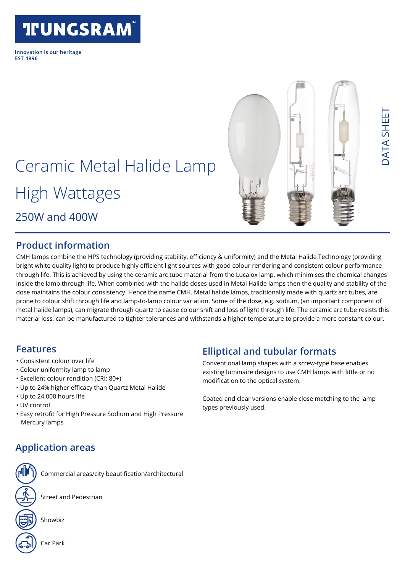# **TIUNGSRAM**

Innovation is our heritage **FST 1896** 



DATA SHEET

ATA SHEE

# Ceramic Metal Halide Lamp

High Wattages

250W and 400W

### **Product information**

CMH lamps combine the HPS technology (providing stability, efficiency & uniformity) and the Metal Halide Technology (providing bright white quality light) to produce highly efficient light sources with good colour rendering and consistent colour performance through life. This is achieved by using the ceramic arc tube material from the Lucalox lamp, which minimises the chemical changes inside the lamp through life. When combined with the halide doses used in Metal Halide lamps then the quality and stability of the dose maintains the colour consistency. Hence the name CMH. Metal halide lamps, traditionally made with quartz arc tubes, are prone to colour shift through life and lamp-to-lamp colour variation. Some of the dose, e.g. sodium, (an important component of metal halide lamps), can migrate through quartz to cause colour shift and loss of light through life. The ceramic arc tube resists this material loss, can be manufactured to tighter tolerances and withstands a higher temperature to provide a more constant colour.

### **Features**

- Consistent colour over life
- Colour uniformity lamp to lamp
- Excellent colour rendition (CRI: 80+)
- Up to 24% higher efficacy than Quartz Metal Halide
- Up to 24,000 hours life
- UV control
- Easy retrofit for High Pressure Sodium and High Pressure Mercury lamps

### **Elliptical and tubular formats**

Conventional lamp shapes with a screw-type base enables existing luminaire designs to use CMH lamps with little or no modification to the optical system.

Coated and clear versions enable close matching to the lamp types previously used.

### **Application areas**

Commercial areas/city beautification/architectural

Street and Pedestrian



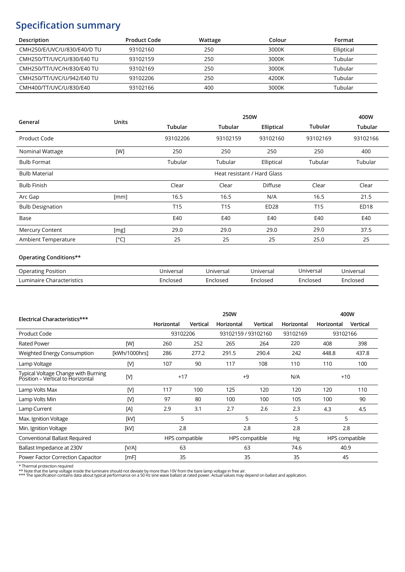### **Specification summary**

| Description                 | <b>Product Code</b> | Wattage | Colour | Format     |
|-----------------------------|---------------------|---------|--------|------------|
| CMH250/E/UVC/U/830/E40/D TU | 93102160            | 250     | 3000K  | Elliptical |
| CMH250/TT/UVC/U/830/E40 TU  | 93102159            | 250     | 3000K  | Tubular    |
| CMH250/TT/UVC/H/830/E40 TU  | 93102169            | 250     | 3000K  | Tubular    |
| CMH250/TT/UVC/U/942/E40 TU  | 93102206            | 250     | 4200K  | Tubular    |
| CMH400/TT/UVC/U/830/E40     | 93102166            | 400     | 3000K  | Tubular    |

| General                 | <b>Units</b>  |                             | 250W            |                  |                 |                  |  |  |
|-------------------------|---------------|-----------------------------|-----------------|------------------|-----------------|------------------|--|--|
|                         |               | <b>Tubular</b>              | <b>Tubular</b>  | Elliptical       | <b>Tubular</b>  | Tubular          |  |  |
| Product Code            |               | 93102206                    | 93102159        | 93102160         | 93102169        | 93102166         |  |  |
| Nominal Wattage         | [W]           | 250                         | 250             | 250              | 250             | 400              |  |  |
| <b>Bulb Format</b>      |               | Tubular                     | Tubular         | Elliptical       | Tubular         | Tubular          |  |  |
| <b>Bulb Material</b>    |               | Heat resistant / Hard Glass |                 |                  |                 |                  |  |  |
| <b>Bulb Finish</b>      |               | Clear                       | Clear           | <b>Diffuse</b>   | Clear           | Clear            |  |  |
| Arc Gap                 | [mm]          | 16.5                        | 16.5            | N/A              | 16.5            | 21.5             |  |  |
| <b>Bulb Designation</b> |               | T <sub>15</sub>             | T <sub>15</sub> | ED <sub>28</sub> | T <sub>15</sub> | ED <sub>18</sub> |  |  |
| Base                    |               | E40                         | E40             | E40              | E40             | E40              |  |  |
| <b>Mercury Content</b>  | [mg]          | 29.0                        | 29.0            | 29.0             | 29.0            | 37.5             |  |  |
| Ambient Temperature     | $[^{\circ}C]$ | 25                          | 25              | 25               | 25.0            | 25               |  |  |

#### **Operating Conditions\*\***

| <b>Operating Position</b> | Jniversal | Jniversal | Universal | Universal | Jniversal |
|---------------------------|-----------|-----------|-----------|-----------|-----------|
| Luminaire Characteristics | :nclosec  | :nclosed  | Enclosed  | Enclosed  | :ncloseo  |

|                                                                          |               | 250W           |            |                     |                |            | 400W     |                |
|--------------------------------------------------------------------------|---------------|----------------|------------|---------------------|----------------|------------|----------|----------------|
| Electrical Characteristics***                                            | Horizontal    | Vertical       | Horizontal | Vertical            | Horizontal     | Horizontal | Vertical |                |
| Product Code                                                             |               | 93102206       |            | 93102159 / 93102160 |                | 93102169   | 93102166 |                |
| <b>Rated Power</b>                                                       | <b>TWT</b>    | 260            | 252        | 265                 | 264            | 220        | 408      | 398            |
| Weighted Energy Consumption                                              | [kWh/1000hrs] | 286            | 277.2      | 291.5               | 290.4          | 242        | 448.8    | 437.8          |
| Lamp Voltage                                                             | [N]           | 107            | 90         | 117                 | 108            | 110        | 110      | 100            |
| Typical Voltage Change with Burning<br>Position - Vertical to Horizontal | [V]           | $+17$<br>$+9$  |            | N/A                 | $+10$          |            |          |                |
| Lamp Volts Max                                                           | [N]           | 117            | 100        | 125                 | 120            | 120        | 120      | 110            |
| Lamp Volts Min                                                           | [V]           | 97             | 80         | 100                 | 100            | 105        | 100      | 90             |
| Lamp Current                                                             | [A]           | 2.9            | 3.1        | 2.7                 | 2.6            | 2.3        | 4.3      | 4.5            |
| Max. Ignition Voltage                                                    | [kV]          | 5              |            | 5                   |                | 5          |          | 5              |
| Min. Ignition Voltage                                                    | [kV]          | 2.8            |            | 2.8                 |                | 2.8        |          | 2.8            |
| Conventional Ballast Required                                            |               | HPS compatible |            |                     | HPS compatible | Hg         |          | HPS compatible |
| Ballast Impedance at 230V                                                | $IV/A$ ]      | 63             |            | 63                  |                | 74.6       | 40.9     |                |
| Power Factor Correction Capacitor                                        | [MF]          | 35             |            | 35                  |                | 35         | 45       |                |

\* Thermal protection required<br>\*\* Note that the lamp voltage inside the luminaire should not deviate by more than 10V from the bare lamp voltage in free air.<br>\*\*\* The specification contains data about typical performance on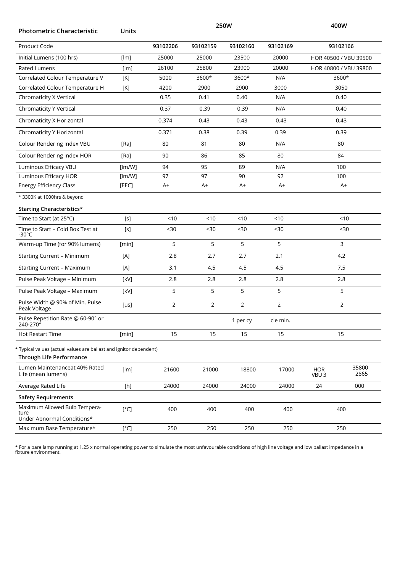| <b>Photometric Characteristic</b>                                                              | Units     | 250W           |                |          |                |                                | 400W                  |
|------------------------------------------------------------------------------------------------|-----------|----------------|----------------|----------|----------------|--------------------------------|-----------------------|
| Product Code                                                                                   |           | 93102206       | 93102159       | 93102160 | 93102169       |                                | 93102166              |
| Initial Lumens (100 hrs)                                                                       | [lm]      | 25000          | 25000          | 23500    | 20000          |                                | HOR 40500 / VBU 39500 |
| <b>Rated Lumens</b>                                                                            | [lm]      | 26100          | 25800          | 23900    | 20000          |                                | HOR 40800 / VBU 39800 |
| Correlated Colour Temperature V                                                                | [K]       | 5000           | 3600*          | 3600*    | N/A            |                                | 3600*                 |
| Correlated Colour Temperature H                                                                | [K]       | 4200           | 2900           | 2900     | 3000           |                                | 3050                  |
| Chromaticity X Vertical                                                                        |           | 0.35           | 0.41           | 0.40     | N/A            |                                | 0.40                  |
| <b>Chromaticity Y Vertical</b>                                                                 |           | 0.37           | 0.39           | 0.39     | N/A            |                                | 0.40                  |
| Chromaticity X Horizontal                                                                      |           | 0.374          | 0.43           | 0.43     | 0.43           |                                | 0.43                  |
| Chromaticity Y Horizontal                                                                      |           | 0.371          | 0.38           | 0.39     | 0.39           |                                | 0.39                  |
| Colour Rendering Index VBU                                                                     | [Ra]      | 80             | 81             | 80       | N/A            |                                | 80                    |
| Colour Rendering Index HOR                                                                     | [Ra]      | 90             | 86             | 85       | 80             |                                | 84                    |
| Luminous Efficacy VBU                                                                          | [lm/W]    | 94             | 95             | 89       | N/A            |                                | 100                   |
| Luminous Efficacy HOR                                                                          | [lm/W]    | 97             | 97             | 90       | 92             |                                | 100                   |
| <b>Energy Efficiency Class</b>                                                                 | [EEC]     | A+             | $A+$           | $A+$     | $A+$           |                                | A+                    |
| * 3300K at 1000hrs & beyond                                                                    |           |                |                |          |                |                                |                       |
| <b>Starting Characteristics*</b>                                                               |           |                |                |          |                |                                |                       |
| Time to Start (at 25°C)                                                                        | $[s]$     | < 10           | < 10           | < 10     | < 10           |                                | < 10                  |
| Time to Start - Cold Box Test at<br>-30 $\degree$ C                                            | [s]       | $30$           | $30$           | $30$     | $30$           |                                | $30$                  |
| Warm-up Time (for 90% lumens)                                                                  | [min]     | 5              | 5              | 5        | 5              | 3                              |                       |
| <b>Starting Current - Minimum</b>                                                              | [A]       | 2.8            | 2.7            | 2.7      | 2.1            |                                | 4.2                   |
| <b>Starting Current - Maximum</b>                                                              | [A]       | 3.1            | 4.5            | 4.5      | 4.5            |                                | 7.5                   |
| Pulse Peak Voltage - Minimum                                                                   | [kV]      | 2.8            | 2.8            | 2.8      | 2.8            |                                | 2.8                   |
| Pulse Peak Voltage - Maximum                                                                   | [kV]      | 5              | 5              | 5        | 5              |                                | 5                     |
| Pulse Width @ 90% of Min. Pulse<br>Peak Voltage                                                | $[\mu s]$ | $\overline{2}$ | $\overline{2}$ | 2        | $\overline{2}$ |                                | 2                     |
| Pulse Repetition Rate @ 60-90° or<br>240-270°                                                  |           |                |                | 1 per cy | cle min.       |                                |                       |
| <b>Hot Restart Time</b>                                                                        | [min]     | 15             | 15             | 15       | 15             |                                | 15                    |
| * Typical values (actual values are ballast and ignitor dependent)<br>Through Life Performance |           |                |                |          |                |                                |                       |
| Lumen Maintenanceat 40% Rated<br>Life (mean lumens)                                            | [lm]      | 21600          | 21000          | 18800    | 17000          | <b>HOR</b><br>VBU <sub>3</sub> | 35800<br>2865         |
| Average Rated Life                                                                             | [h]       | 24000          | 24000          | 24000    | 24000          | 24                             | 000                   |
| <b>Safety Requirements</b>                                                                     |           |                |                |          |                |                                |                       |
| Maximum Allowed Bulb Tempera-<br>ture<br>Under Abnormal Conditions*                            | [°C]      | 400            | 400            | 400      | 400            |                                | 400                   |
| Maximum Base Temperature*                                                                      | [°C]      | 250            | 250            | 250      | 250            |                                | 250                   |

\* For a bare lamp running at 1.25 x normal operating power to simulate the most unfavourable conditions of high line voltage and low ballast impedance in a fixture environment.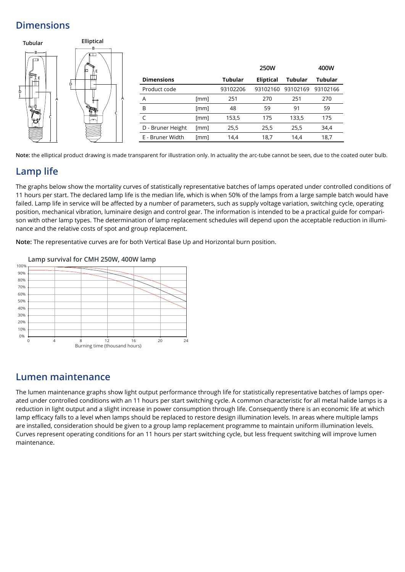### **Dimensions**



**Note:** the elliptical product drawing is made transparent for illustration only. In actuality the arc-tube cannot be seen, due to the coated outer bulb.

### **Lamp life**

The graphs below show the mortality curves of statistically representative batches of lamps operated under controlled conditions of 11 hours per start. The declared lamp life is the median life, which is when 50% of the lamps from a large sample batch would have failed. Lamp life in service will be affected by a number of parameters, such as supply voltage variation, switching cycle, operating position, mechanical vibration, luminaire design and control gear. The information is intended to be a practical guide for comparison with other lamp types. The determination of lamp replacement schedules will depend upon the acceptable reduction in illuminance and the relative costs of spot and group replacement.

**Note:** The representative curves are for both Vertical Base Up and Horizontal burn position.



### **Lumen maintenance**

The lumen maintenance graphs show light output performance through life for statistically representative batches of lamps operated under controlled conditions with an 11 hours per start switching cycle. A common characteristic for all metal halide lamps is a reduction in light output and a slight increase in power consumption through life. Consequently there is an economic life at which lamp efficacy falls to a level when lamps should be replaced to restore design illumination levels. In areas where multiple lamps are installed, consideration should be given to a group lamp replacement programme to maintain uniform illumination levels. Curves represent operating conditions for an 11 hours per start switching cycle, but less frequent switching will improve lumen maintenance.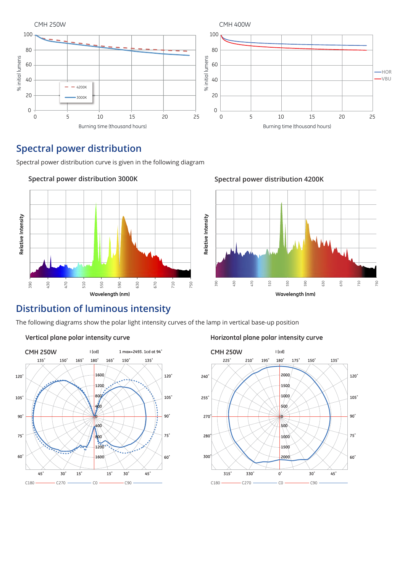

## **Spectral power distribution Spectral power distribution**

Spectral power distribution curve is given in the following diagram Spectral power distribution curve is given in the following diagram



#### **Spectral power distribution 3000K**

## **Distribution of luminous intensity Distribution of luminous intensity**

The following diagrams show the polar light intensity curves of the lamp in vertical base-up position The following diagrams show the polar light intensity curves of the lamp in vertical base-up position



#### **Vertical plane polar intensity curve Horizontal plane polar intensity curve Horizontal plane polar intensity curve**

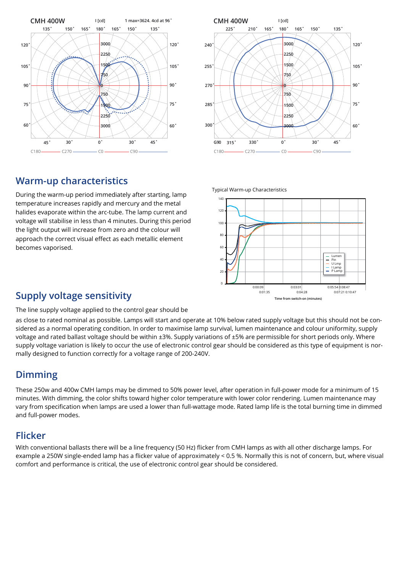



### **Warm-up characteristics**

During the warm-up period immediately after starting, lamp temperature increases rapidly and mercury and the metal halides evaporate within the arc-tube. The lamp current and voltage will stabilise in less than 4 minutes. During this period the light output will increase from zero and the colour will approach the correct visual effect as each metallic element becomes vaporised.

Typical Warm-up Characteristics



### Supply voltage sensitivity **Supply**  $\frac{0.01:35}{\text{Time from switch-on (minutes)}}$

The line supply voltage applied to the control gear should be

as close to rated nominal as possible. Lamps will start and operate at 10% below rated supply voltage but this should not be considered as a normal operating condition. In order to maximise lamp survival, lumen maintenance and colour uniformity, supply voltage and rated ballast voltage should be within ±3%. Supply variations of ±5% are permissible for short periods only. Where supply voltage variation is likely to occur the use of electronic control gear should be considered as this type of equipment is normally designed to function correctly for a voltage range of 200-240V.

### **Dimming**

These 250w and 400w CMH lamps may be dimmed to 50% power level, after operation in full-power mode for a minimum of 15 minutes. With dimming, the color shifts toward higher color temperature with lower color rendering. Lumen maintenance may vary from specification when lamps are used a lower than full-wattage mode. Rated lamp life is the total burning time in dimmed and full-power modes.

### **Flicker**

With conventional ballasts there will be a line frequency (50 Hz) flicker from CMH lamps as with all other discharge lamps. For example a 250W single-ended lamp has a flicker value of approximately < 0.5 %. Normally this is not of concern, but, where visual comfort and performance is critical, the use of electronic control gear should be considered.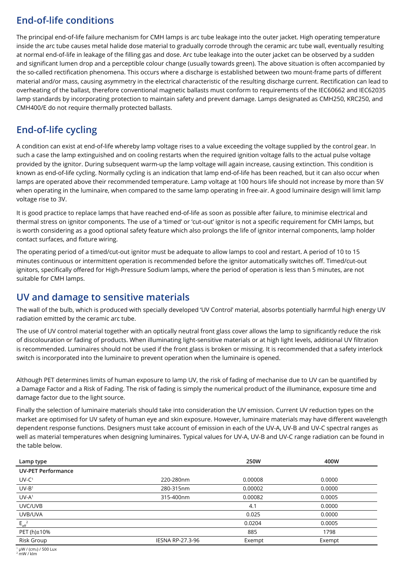### **End-of-life conditions**

The principal end-of-life failure mechanism for CMH lamps is arc tube leakage into the outer jacket. High operating temperature inside the arc tube causes metal halide dose material to gradually corrode through the ceramic arc tube wall, eventually resulting at normal end-of-life in leakage of the filling gas and dose. Arc tube leakage into the outer jacket can be observed by a sudden and significant lumen drop and a perceptible colour change (usually towards green). The above situation is often accompanied by the so-called rectification phenomena. This occurs where a discharge is established between two mount-frame parts of different material and/or mass, causing asymmetry in the electrical characteristic of the resulting discharge current. Rectification can lead to overheating of the ballast, therefore conventional magnetic ballasts must conform to requirements of the IEC60662 and IEC62035 lamp standards by incorporating protection to maintain safety and prevent damage. Lamps designated as CMH250, KRC250, and CMH400/E do not require thermally protected ballasts.

### **End-of-life cycling**

A condition can exist at end-of-life whereby lamp voltage rises to a value exceeding the voltage supplied by the control gear. In such a case the lamp extinguished and on cooling restarts when the required ignition voltage falls to the actual pulse voltage provided by the ignitor. During subsequent warm-up the lamp voltage will again increase, causing extinction. This condition is known as end-of-life cycling. Normally cycling is an indication that lamp end-of-life has been reached, but it can also occur when lamps are operated above their recommended temperature. Lamp voltage at 100 hours life should not increase by more than 5V when operating in the luminaire, when compared to the same lamp operating in free-air. A good luminaire design will limit lamp voltage rise to 3V.

It is good practice to replace lamps that have reached end-of-life as soon as possible after failure, to minimise electrical and thermal stress on ignitor components. The use of a 'timed' or 'cut-out' ignitor is not a specific requirement for CMH lamps, but is worth considering as a good optional safety feature which also prolongs the life of ignitor internal components, lamp holder contact surfaces, and fixture wiring.

The operating period of a timed/cut-out ignitor must be adequate to allow lamps to cool and restart. A period of 10 to 15 minutes continuous or intermittent operation is recommended before the ignitor automatically switches off. Timed/cut-out ignitors, specifically offered for High-Pressure Sodium lamps, where the period of operation is less than 5 minutes, are not suitable for CMH lamps.

### **UV and damage to sensitive materials**

The wall of the bulb, which is produced with specially developed 'UV Control' material, absorbs potentially harmful high energy UV radiation emitted by the ceramic arc tube.

The use of UV control material together with an optically neutral front glass cover allows the lamp to significantly reduce the risk of discolouration or fading of products. When illuminating light-sensitive materials or at high light levels, additional UV filtration is recommended. Luminaires should not be used if the front glass is broken or missing. It is recommended that a safety interlock switch is incorporated into the luminaire to prevent operation when the luminaire is opened.

Although PET determines limits of human exposure to lamp UV, the risk of fading of mechanise due to UV can be quantified by a Damage Factor and a Risk of Fading. The risk of fading is simply the numerical product of the illuminance, exposure time and damage factor due to the light source.

Finally the selection of luminaire materials should take into consideration the UV emission. Current UV reduction types on the market are optimised for UV safety of human eye and skin exposure. However, luminaire materials may have different wavelength dependent response functions. Designers must take account of emission in each of the UV-A, UV-B and UV-C spectral ranges as well as material temperatures when designing luminaires. Typical values for UV-A, UV-B and UV-C range radiation can be found in the table below.

| Lamp type                 |                         | 250W    | 400W   |
|---------------------------|-------------------------|---------|--------|
| <b>UV-PET Performance</b> |                         |         |        |
| $UV-C1$                   | 220-280nm               | 0.00008 | 0.0000 |
| $UV-B1$                   | 280-315nm               | 0.00002 | 0.0000 |
| $UV-A1$                   | 315-400nm               | 0.00082 | 0.0005 |
| UVC/UVB                   |                         | 4.1     | 0.0000 |
| UVB/UVA                   |                         | 0.025   | 0.0000 |
| $E_{\text{eff}}^{2}$      |                         | 0.0204  | 0.0005 |
| PET (h)±10%               |                         | 885     | 1798   |
| Risk Group                | <b>IESNA RP-27.3-96</b> | Exempt  | Exempt |

 $1 \mu W$  / (cm<sub>2</sub>) / 500 Lux

 $2$  mW / klm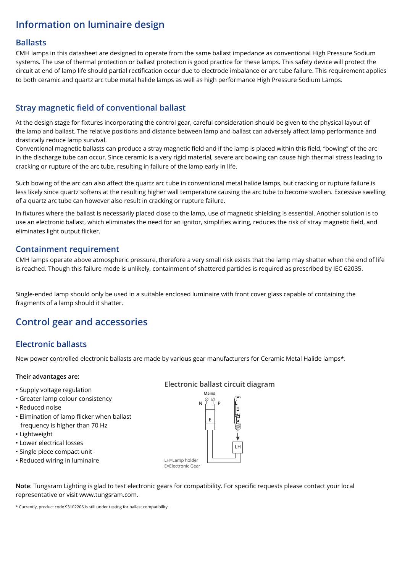### **Information on luminaire design**

#### **Ballasts**

CMH lamps in this datasheet are designed to operate from the same ballast impedance as conventional High Pressure Sodium systems. The use of thermal protection or ballast protection is good practice for these lamps. This safety device will protect the circuit at end of lamp life should partial rectification occur due to electrode imbalance or arc tube failure. This requirement applies to both ceramic and quartz arc tube metal halide lamps as well as high performance High Pressure Sodium Lamps.

#### **Stray magnetic field of conventional ballast**

At the design stage for fixtures incorporating the control gear, careful consideration should be given to the physical layout of the lamp and ballast. The relative positions and distance between lamp and ballast can adversely affect lamp performance and drastically reduce lamp survival.

Conventional magnetic ballasts can produce a stray magnetic field and if the lamp is placed within this field, "bowing" of the arc in the discharge tube can occur. Since ceramic is a very rigid material, severe arc bowing can cause high thermal stress leading to cracking or rupture of the arc tube, resulting in failure of the lamp early in life.

Such bowing of the arc can also affect the quartz arc tube in conventional metal halide lamps, but cracking or rupture failure is less likely since quartz softens at the resulting higher wall temperature causing the arc tube to become swollen. Excessive swelling of a quartz arc tube can however also result in cracking or rupture failure.

In fixtures where the ballast is necessarily placed close to the lamp, use of magnetic shielding is essential. Another solution is to use an electronic ballast, which eliminates the need for an ignitor, simplifies wiring, reduces the risk of stray magnetic field, and eliminates light output flicker.

#### **Containment requirement**

CMH lamps operate above atmospheric pressure, therefore a very small risk exists that the lamp may shatter when the end of life is reached. Though this failure mode is unlikely, containment of shattered particles is required as prescribed by IEC 62035.

Single-ended lamp should only be used in a suitable enclosed luminaire with front cover glass capable of containing the fragments of a lamp should it shatter.

### **Control gear and accessories**

#### **Electronic ballasts**

New power controlled electronic ballasts are made by various gear manufacturers for Ceramic Metal Halide lamps\*.

#### **Their advantages are:**

- 
- Greater lamp colour consistency
- Reduced noise
- Elimination of lamp flicker when ballast frequency is higher than 70 Hz
- Lightweight
- Lower electrical losses
- Single piece compact unit
- Reduced wiring in luminaire **LALACCO** LH=Lamp holder

**Mains Electronic ballast circuit diagram** • Supply voltage regulation



**Note**: Tungsram Lighting is glad to test electronic gears for compatibility. For specific requests please contact your local representative or visit www.tungsram.com.

\* Currently, product code 93102206 is still under testing for ballast compatibility.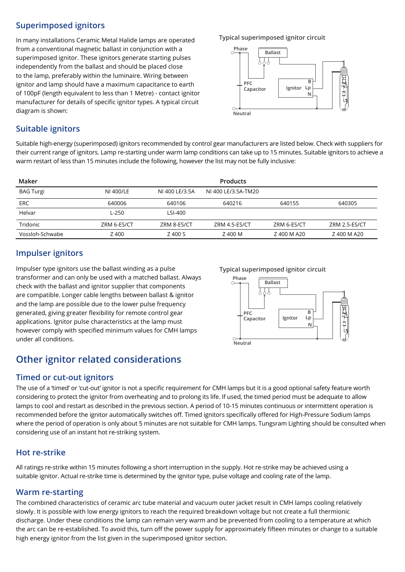#### **Superimposed ignitors**

**Typical superimposed ignitor circuit** In many installations Ceramic Metal Halide lamps are operated from a conventional magnetic ballast in conjunction with a superimposed ignitor. These ignitors generate starting pulses independently from the ballast and should be placed close to the lamp, preferably within the luminaire. Wiring between ignitor and lamp should have a maximum capacitance to earth of 100pF (length equivalent to less than 1 Metre) - contact ignitor manufacturer for details of specific ignitor types. A typical circuit diagram is shown:



#### **Suitable ignitors**

Suitable high-energy (superimposed) ignitors recommended by control gear manufacturers are listed below. Check with suppliers for their current range of ignitors. Lamp re-starting under warm lamp conditions can take up to 15 minutes. Suitable ignitors to achieve a warm restart of less than 15 minutes include the following, however the list may not be fully inclusive:

| Maker            |             |                | <b>Products</b>     |             |               |
|------------------|-------------|----------------|---------------------|-------------|---------------|
| <b>BAG Turgi</b> | NI 400/LE   | NI 400 LE/3.5A | NJ 400 LE/3.5A-TM20 |             |               |
| <b>ERC</b>       | 640006      | 640106         | 640216              | 640155      | 640305        |
| Helvar           | $L-250$     | LSI-400        |                     |             |               |
| Tridonic         | ZRM 6-ES/CT | ZRM 8-ES/CT    | ZRM 4.5-ES/CT       | ZRM 6-ES/CT | ZRM 2.5-ES/CT |
| Vossloh-Schwabe  | Z 400       | Z 400 S        | Z 400 M             | Z 400 M A20 | Z 400 M A20   |

#### **Impulser ignitors**

Impulser type ignitors use the ballast winding as a pulse **Typical superimposed ignitor circuit**  transformer and can only be used with a matched ballast. Always check with the ballast and ignitor supplier that components are compatible. Longer cable lengths between ballast & ignitor and the lamp are possible due to the lower pulse frequency generated, giving greater flexibility for remote control gear applications. Ignitor pulse characteristics at the lamp must however comply with specified minimum values for CMH lamps under all conditions.

### **Other ignitor related considerations**

#### **Timed or cut-out ignitors**

The use of a 'timed' or 'cut-out' ignitor is not a specific requirement for CMH lamps but it is a good optional safety feature worth considering to protect the ignitor from overheating and to prolong its life. If used, the timed period must be adequate to allow lamps to cool and restart as described in the previous section. A period of 10-15 minutes continuous or intermittent operation is recommended before the ignitor automatically switches off. Timed ignitors specifically offered for High-Pressure Sodium lamps where the period of operation is only about 5 minutes are not suitable for CMH lamps. Tungsram Lighting should be consulted when considering use of an instant hot re-striking system.

#### **Hot re-strike**

All ratings re-strike within 15 minutes following a short interruption in the supply. Hot re-strike may be achieved using a suitable ignitor. Actual re-strike time is determined by the ignitor type, pulse voltage and cooling rate of the lamp.

#### **Warm re-starting**

The combined characteristics of ceramic arc tube material and vacuum outer jacket result in CMH lamps cooling relatively slowly. It is possible with low energy ignitors to reach the required breakdown voltage but not create a full thermionic discharge. Under these conditions the lamp can remain very warm and be prevented from cooling to a temperature at which the arc can be re-established. To avoid this, turn off the power supply for approximately fifteen minutes or change to a suitable high energy ignitor from the list given in the superimposed ignitor section.